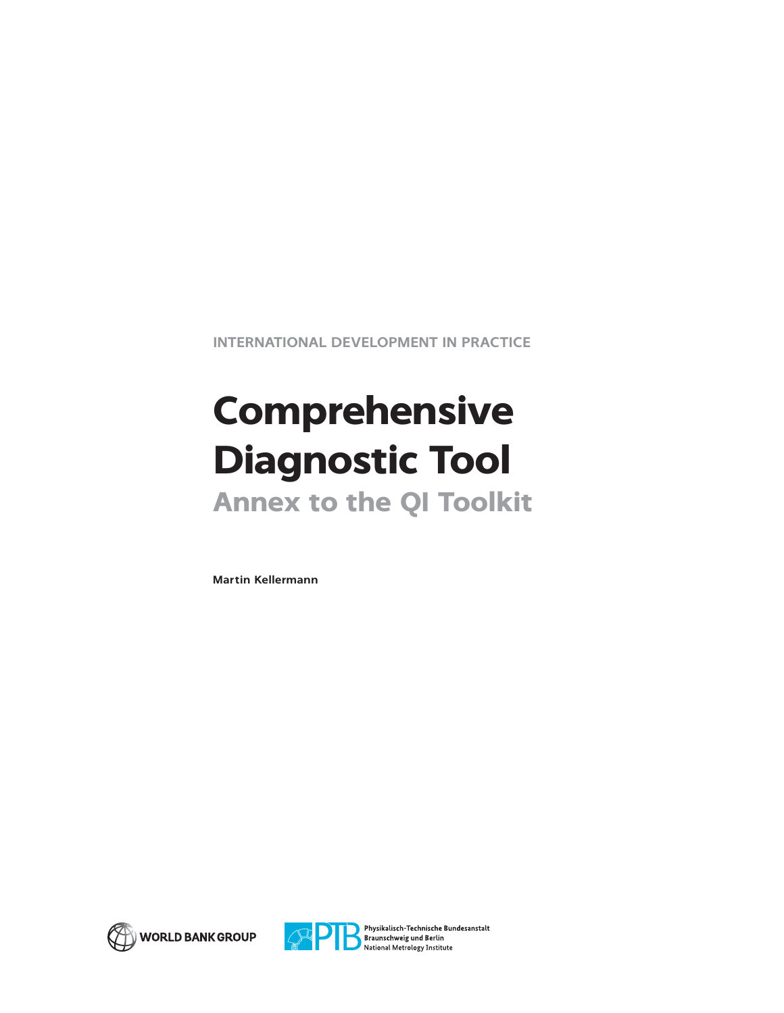**INTERNATIONAL DEVELOPMENT IN PRACTICE**

# **Comprehensive Diagnostic Tool Annex to the QI Toolkit**

**Martin Kellermann**





Physikalisch-Technische Bundesanstalt Braunschweig und Berlin<br>National Metrology Institute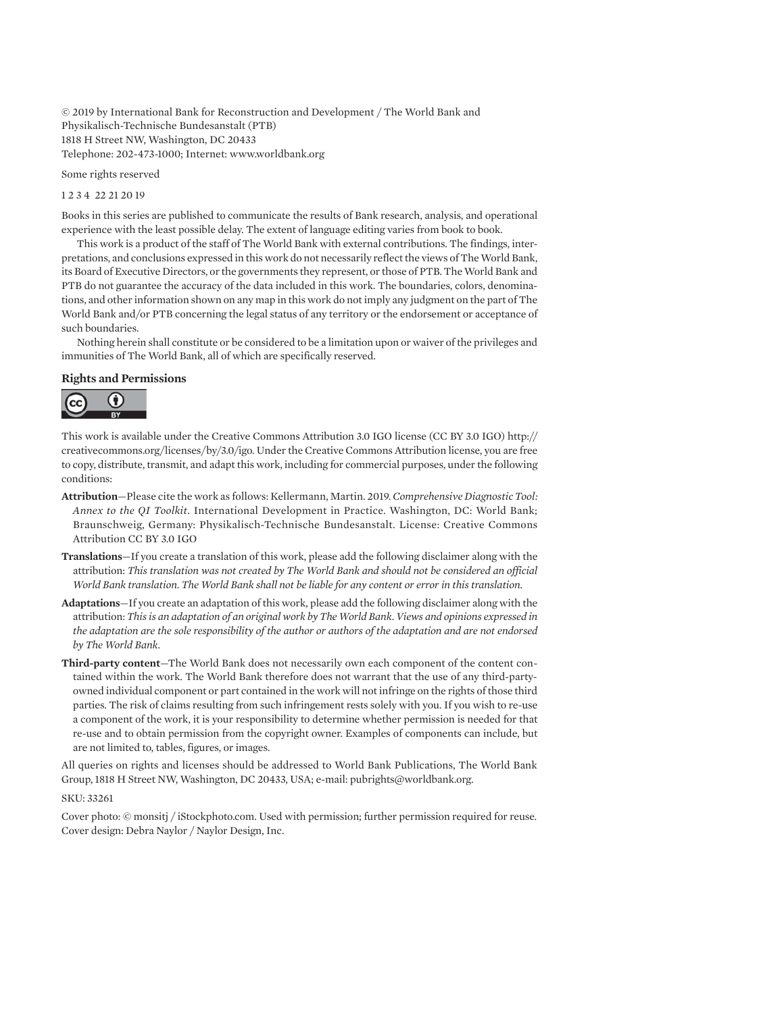© 2019 by International Bank for Reconstruction and Development / The World Bank and Physikalisch-Technische Bundesanstalt (PTB) 1818 H Street NW, Washington, DC 20433 Telephone: 202-473-1000; Internet: [www.worldbank.org](http://www.worldbank.org)

Some rights reserved

1 2 3 4 22 21 20 19

Books in this series are published to communicate the results of Bank research, analysis, and operational experience with the least possible delay. The extent of language editing varies from book to book.

This work is a product of the staff of The World Bank with external contributions. The findings, interpretations, and conclusions expressed in this work do not necessarily reflect the views of The World Bank, its Board of Executive Directors, or the governments they represent, or those of PTB. The World Bank and PTB do not guarantee the accuracy of the data included in this work. The boundaries, colors, denominations, and other information shown on any map in this work do not imply any judgment on the part of The World Bank and/or PTB concerning the legal status of any territory or the endorsement or acceptance of such boundaries.

Nothing herein shall constitute or be considered to be a limitation upon or waiver of the privileges and immunities of The World Bank, all of which are specifically reserved.

#### **Rights and Permissions**



This work is available under the Creative Commons Attribution 3.0 IGO license (CC BY 3.0 IGO) [http://](http://creativecommons.org/licenses/by/3.0/igo) [creativecommons.org/licenses/by/3.0/igo.](http://creativecommons.org/licenses/by/3.0/igo) Under the Creative Commons Attribution license, you are free to copy, distribute, transmit, and adapt this work, including for commercial purposes, under the following conditions:

- **Attribution**—Please cite the work as follows: Kellermann, Martin. 2019. *Comprehensive Diagnostic Tool: Annex to the QI Toolkit.* International Development in Practice. Washington, DC: World Bank; Braunschweig, Germany: Physikalisch-Technische Bundesanstalt. License: Creative Commons Attribution CC BY 3.0 IGO
- **Translations**—If you create a translation of this work, please add the following disclaimer along with the attribution: *This translation was not created by The World Bank and should not be considered an official World Bank translation. The World Bank shall not be liable for any content or error in this translation.*
- **Adaptations**—If you create an adaptation of this work, please add the following disclaimer along with the attribution: *This is an adaptation of an original work by The World Bank. Views and opinions expressed in the adaptation are the sole responsibility of the author or authors of the adaptation and are not endorsed by The World Bank.*
- **Third-party content**—The World Bank does not necessarily own each component of the content contained within the work. The World Bank therefore does not warrant that the use of any third-partyowned individual component or part contained in the work will not infringe on the rights of those third parties. The risk of claims resulting from such infringement rests solely with you. If you wish to re-use a component of the work, it is your responsibility to determine whether permission is needed for that re-use and to obtain permission from the copyright owner. Examples of components can include, but are not limited to, tables, figures, or images.

All queries on rights and licenses should be addressed to World Bank Publications, The World Bank Group, 1818 H Street NW, Washington, DC 20433, USA; e-mail: [pubrights@worldbank.org](mailto:pubrights@worldbank.org).

SKU: 33261

Cover photo: © monsitj / [iStockphoto.com.](http://iStockphoto.com) Used with permission; further permission required for reuse. Cover design: Debra Naylor / Naylor Design, Inc.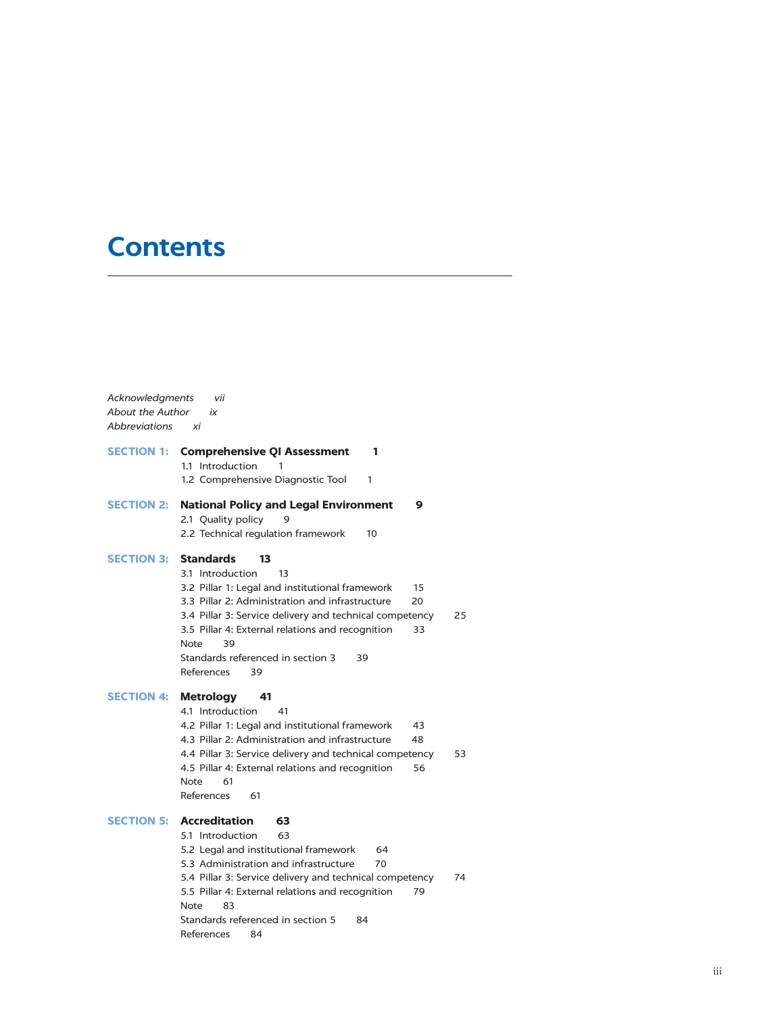## **Contents**

| Acknowledgments<br>vii<br><b>About the Author</b><br>ix<br><b>Abbreviations</b><br>хi |                                                                                                                                                                                                                                                                                                                                                                                   |
|---------------------------------------------------------------------------------------|-----------------------------------------------------------------------------------------------------------------------------------------------------------------------------------------------------------------------------------------------------------------------------------------------------------------------------------------------------------------------------------|
| <b>SECTION 1:</b>                                                                     | <b>Comprehensive QI Assessment</b><br>1<br>1.1 Introduction<br>1<br>1.2 Comprehensive Diagnostic Tool<br>1                                                                                                                                                                                                                                                                        |
| <b>SECTION 2:</b>                                                                     | <b>National Policy and Legal Environment</b><br>9<br>2.1 Quality policy<br>9<br>2.2 Technical regulation framework<br>10                                                                                                                                                                                                                                                          |
| <b>SECTION 3:</b>                                                                     | <b>Standards</b><br>13<br>3.1 Introduction<br>13<br>3.2 Pillar 1: Legal and institutional framework<br>15<br>3.3 Pillar 2: Administration and infrastructure<br>20<br>3.4 Pillar 3: Service delivery and technical competency<br>25<br>3.5 Pillar 4: External relations and recognition<br>33<br>39<br><b>Note</b><br>Standards referenced in section 3<br>39<br>References<br>39 |
| <b>SECTION 4:</b>                                                                     | <b>Metrology</b><br>41<br>4.1 Introduction<br>41<br>4.2 Pillar 1: Legal and institutional framework<br>43<br>4.3 Pillar 2: Administration and infrastructure<br>48<br>4.4 Pillar 3: Service delivery and technical competency<br>53<br>4.5 Pillar 4: External relations and recognition<br>56<br><b>Note</b><br>61<br>References<br>61                                            |
| <b>SECTION 5:</b>                                                                     | <b>Accreditation</b><br>63<br>5.1 Introduction<br>63<br>5.2 Legal and institutional framework<br>64<br>5.3 Administration and infrastructure<br>70<br>5.4 Pillar 3: Service delivery and technical competency<br>74<br>5.5 Pillar 4: External relations and recognition<br>79<br><b>Note</b><br>83<br>Standards referenced in section 5<br>84<br>References<br>84                 |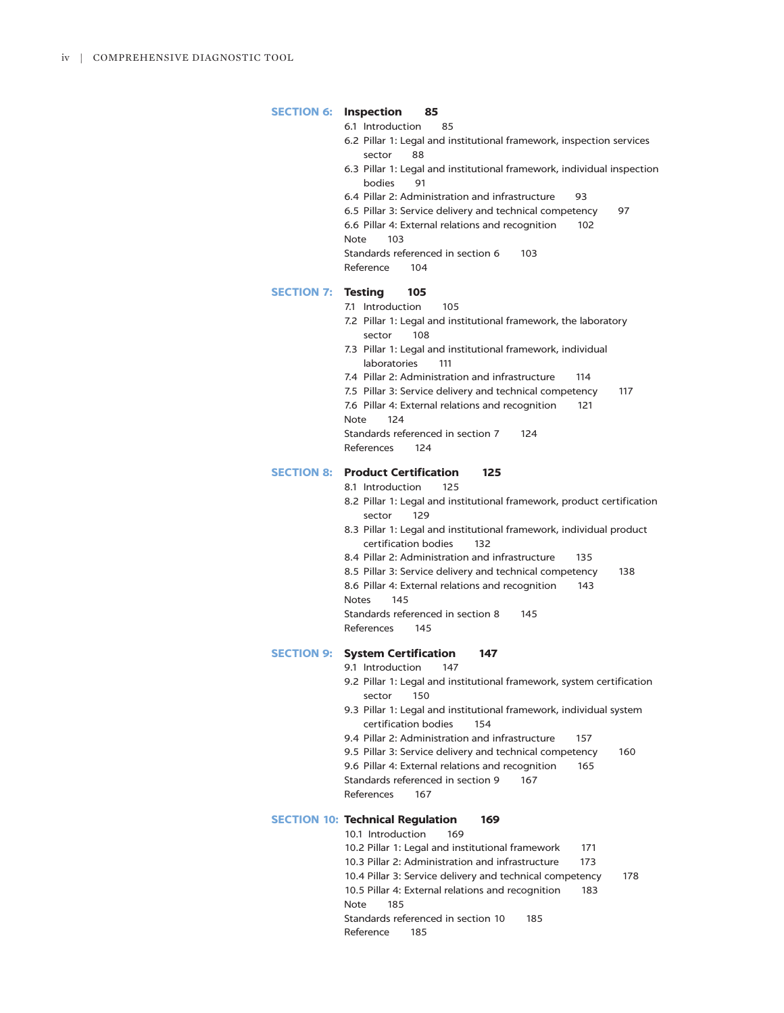#### **SECTION 6: Inspection 85**

- 6.1 Introduction 85
- 6.2 Pillar 1: Legal and institutional framework, inspection services sector 88
- 6.3 Pillar 1: Legal and institutional framework, individual inspection bodies 91
- 6.4 Pillar 2: Administration and infrastructure 93
- 6.5 Pillar 3: Service delivery and technical competency 97
- 6.6 Pillar 4: External relations and recognition 102
- Note 103

Standards referenced in section 6 103

Reference 104

#### **SECTION 7: Testing 105**

- 7.1 Introduction 105
- 7.2 Pillar 1: Legal and institutional framework, the laboratory sector 108
- 7.3 Pillar 1: Legal and institutional framework, individual laboratories 111
- 7.4 Pillar 2: Administration and infrastructure 114
- 7.5 Pillar 3: Service delivery and technical competency 117
- 7.6 Pillar 4: External relations and recognition 121
- Note 124

Standards referenced in section 7 124 References 124

#### **SECTION 8: Product Certification 125**

- 8.1 Introduction 125
- 8.2 Pillar 1: Legal and institutional framework, product certification sector 129
- 8.3 Pillar 1: Legal and institutional framework, individual product certification bodies 132
- 8.4 Pillar 2: Administration and infrastructure 135
- 8.5 Pillar 3: Service delivery and technical competency 138
- 8.6 Pillar 4: External relations and recognition 143
- Notes 145

Standards referenced in section 8 145

References 145

#### **SECTION 9: System Certification 147**

9.1 Introduction 147

- 9.2 Pillar 1: Legal and institutional framework, system certification sector 150
- 9.3 Pillar 1: Legal and institutional framework, individual system certification bodies 154
- 9.4 Pillar 2: Administration and infrastructure 157
- 9.5 Pillar 3: Service delivery and technical competency 160
- 9.6 Pillar 4: External relations and recognition 165
- Standards referenced in section 9 167
- References 167

#### **SECTION 10: Technical Regulation 169**

10.1 Introduction 169 10.2 Pillar 1: Legal and institutional framework 171 10.3 Pillar 2: Administration and infrastructure 173 10.4 Pillar 3: Service delivery and technical competency 178 10.5 Pillar 4: External relations and recognition 183 Note 185 Standards referenced in section 10 185 Reference 185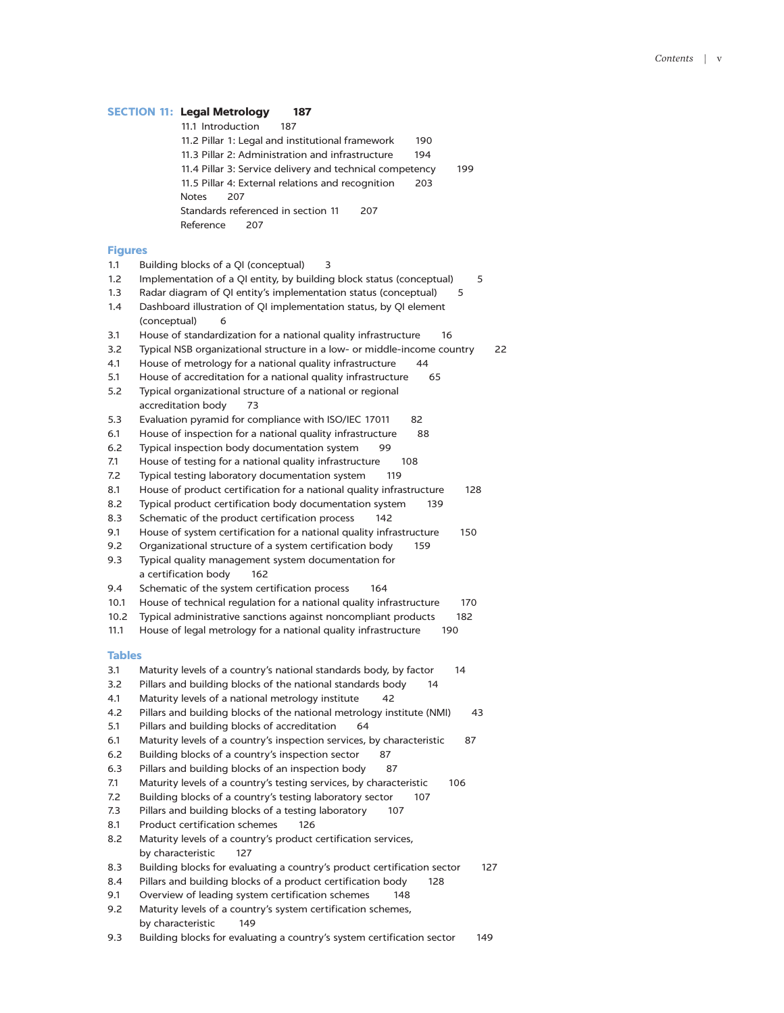#### **SECTION 11: Legal Metrology 187**

11.1 Introduction 187 11.2 Pillar 1: Legal and institutional framework 190 11.3 Pillar 2: Administration and infrastructure 194 11.4 Pillar 3: Service delivery and technical competency 199 11.5 Pillar 4: External relations and recognition 203 Notes 207 Standards referenced in section 11 207 Reference 207

#### **Figures**

- 1.1 Building blocks of a QI (conceptual) 3
- 1.2 Implementation of a QI entity, by building block status (conceptual) 5
- 1.3 Radar diagram of QI entity's implementation status (conceptual) 5
- 1.4 Dashboard illustration of QI implementation status, by QI element (conceptual) 6
- 3.1 House of standardization for a national quality infrastructure 16
- 3.2 Typical NSB organizational structure in a low- or middle-income country 22
- 4.1 House of metrology for a national quality infrastructure 44
- 5.1 House of accreditation for a national quality infrastructure 65 5.2 Typical organizational structure of a national or regional accreditation body 73
- 5.3 Evaluation pyramid for compliance with ISO/IEC 17011 82
- 6.1 House of inspection for a national quality infrastructure 88
- 6.2 Typical inspection body documentation system 99
- 7.1 House of testing for a national quality infrastructure 108
- 7.2 Typical testing laboratory documentation system 119
- 8.1 House of product certification for a national quality infrastructure 128
- 8.2 Typical product certification body documentation system 139
- 8.3 Schematic of the product certification process 142
- 9.1 House of system certification for a national quality infrastructure 150
- 9.2 Organizational structure of a system certification body 159
- 9.3 Typical quality management system documentation for a certification body 162
- 9.4 Schematic of the system certification process 164
- 10.1 House of technical regulation for a national quality infrastructure 170
- 10.2 Typical administrative sanctions against noncompliant products 182
- 11.1 House of legal metrology for a national quality infrastructure 190

#### **Tables**

- 3.1 Maturity levels of a country's national standards body, by factor 14
- 3.2 Pillars and building blocks of the national standards body 14
- 4.1 Maturity levels of a national metrology institute 42
- 4.2 Pillars and building blocks of the national metrology institute (NMI) 43
- 5.1 Pillars and building blocks of accreditation 64
- 6.1 Maturity levels of a country's inspection services, by characteristic 87
- 6.2 Building blocks of a country's inspection sector 87
- 6.3 Pillars and building blocks of an inspection body 87
- 7.1 Maturity levels of a country's testing services, by characteristic 106
- 7.2 Building blocks of a country's testing laboratory sector 107
- 7.3 Pillars and building blocks of a testing laboratory 107
- 8.1 Product certification schemes 126
- 8.2 Maturity levels of a country's product certification services, by characteristic 127
- 8.3 Building blocks for evaluating a country's product certification sector 127
- 8.4 Pillars and building blocks of a product certification body 128
- 9.1 Overview of leading system certification schemes 148
- 9.2 Maturity levels of a country's system certification schemes, by characteristic 149
- 9.3 Building blocks for evaluating a country's system certification sector 149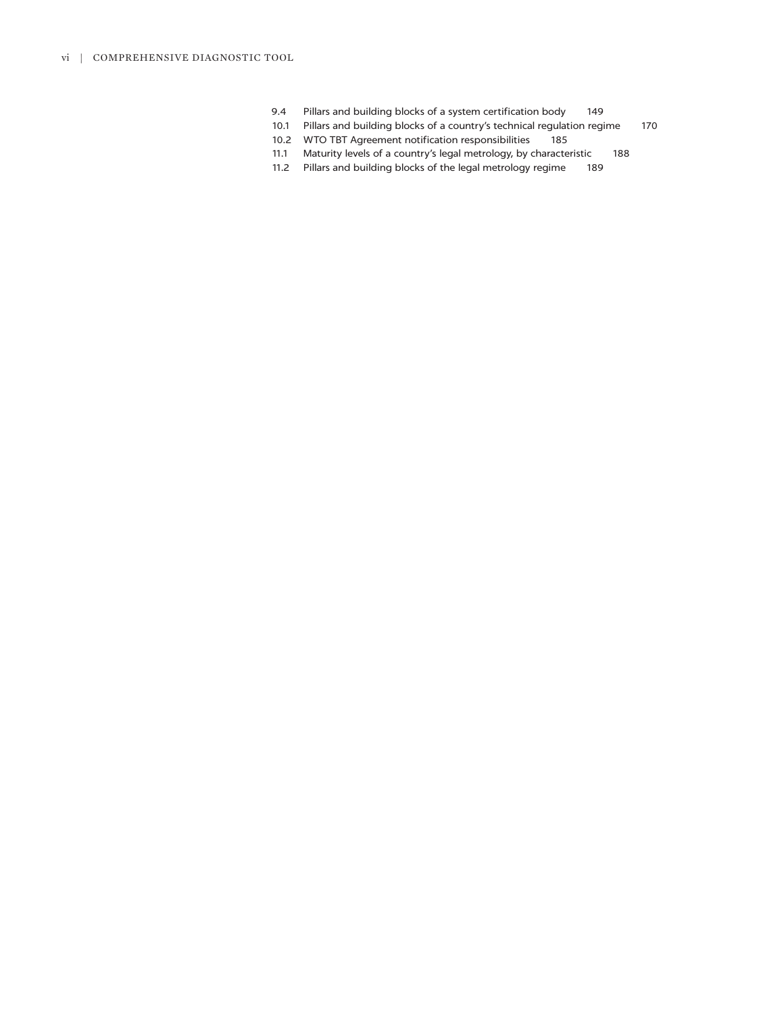- 9.4 Pillars and building blocks of a system certification body 149
- 10.1 Pillars and building blocks of a country's technical regulation regime 170
- 10.2 WTO TBT Agreement notification responsibilities 185
- 11.1 Maturity levels of a country's legal metrology, by characteristic 188
- 11.2 Pillars and building blocks of the legal metrology regime 189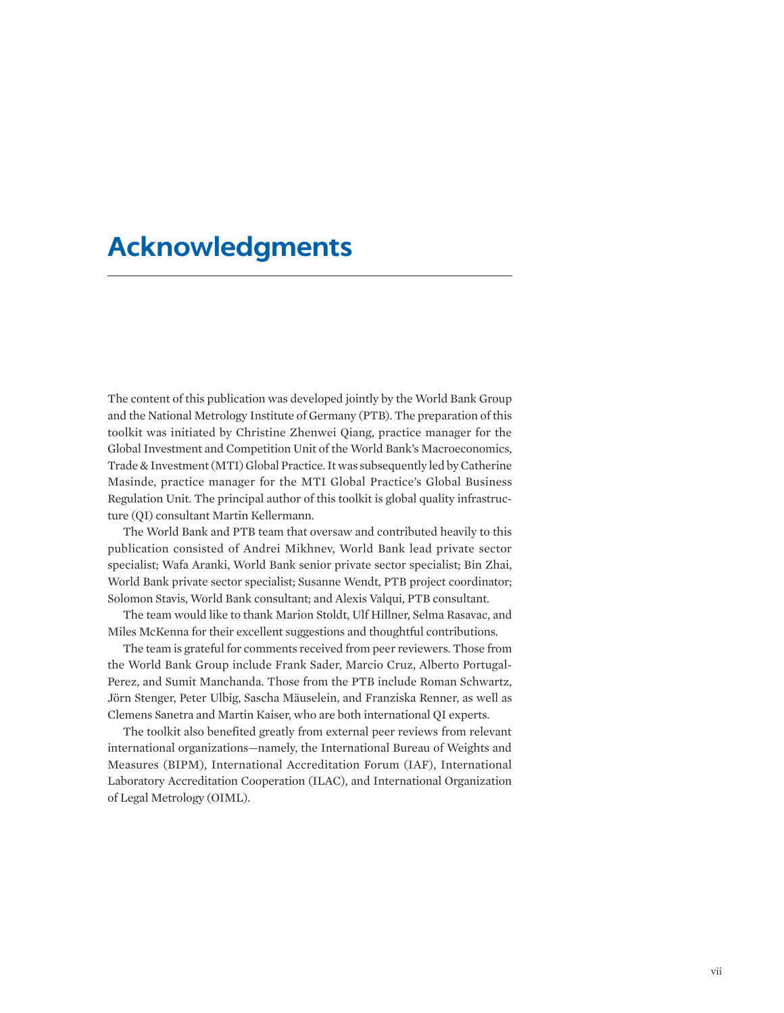### **Acknowledgments**

The content of this publication was developed jointly by the World Bank Group and the National Metrology Institute of Germany (PTB). The preparation of this toolkit was initiated by Christine Zhenwei Qiang, practice manager for the Global Investment and Competition Unit of the World Bank's Macroeconomics, Trade & Investment (MTI) Global Practice. It was subsequently led by Catherine Masinde, practice manager for the MTI Global Practice's Global Business Regulation Unit. The principal author of this toolkit is global quality infrastructure (QI) consultant Martin Kellermann.

The World Bank and PTB team that oversaw and contributed heavily to this publication consisted of Andrei Mikhnev, World Bank lead private sector specialist; Wafa Aranki, World Bank senior private sector specialist; Bin Zhai, World Bank private sector specialist; Susanne Wendt, PTB project coordinator; Solomon Stavis, World Bank consultant; and Alexis Valqui, PTB consultant.

The team would like to thank Marion Stoldt, Ulf Hillner, Selma Rasavac, and Miles McKenna for their excellent suggestions and thoughtful contributions.

The team is grateful for comments received from peer reviewers. Those from the World Bank Group include Frank Sader, Marcio Cruz, Alberto Portugal-Perez, and Sumit Manchanda. Those from the PTB include Roman Schwartz, Jörn Stenger, Peter Ulbig, Sascha Mäuselein, and Franziska Renner, as well as Clemens Sanetra and Martin Kaiser, who are both international QI experts.

The toolkit also benefited greatly from external peer reviews from relevant international organizations—namely, the International Bureau of Weights and Measures (BIPM), International Accreditation Forum (IAF), International Laboratory Accreditation Cooperation (ILAC), and International Organization of Legal Metrology (OIML).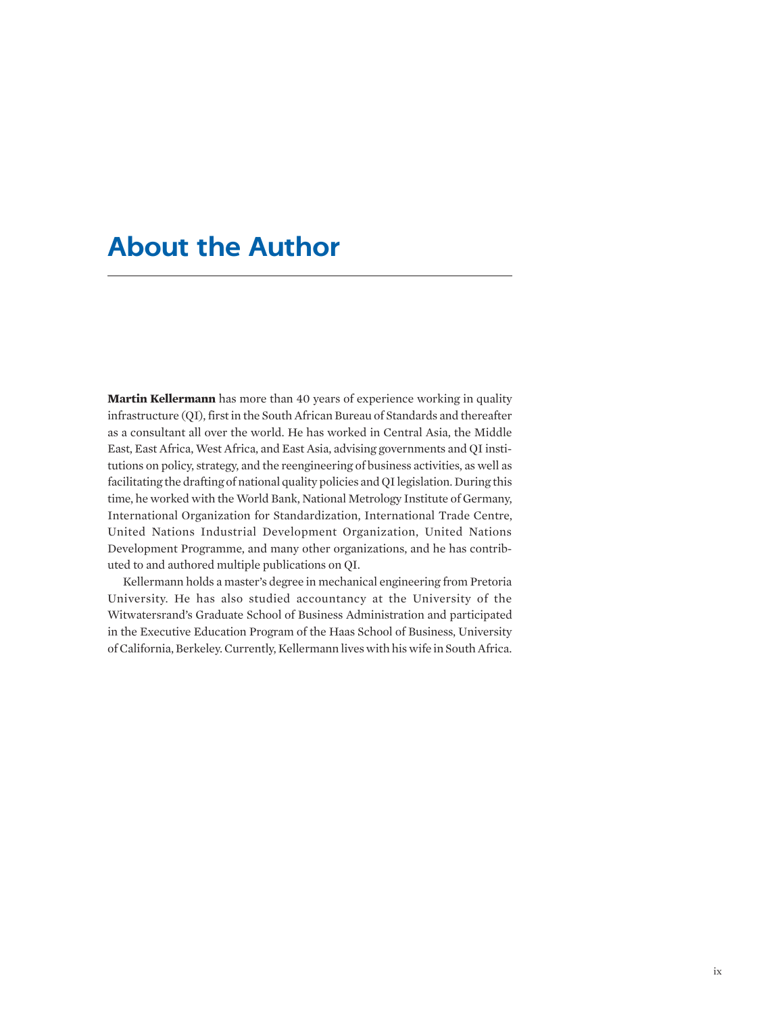### **About the Author**

**Martin Kellermann** has more than 40 years of experience working in quality infrastructure (QI), first in the South African Bureau of Standards and thereafter as a consultant all over the world. He has worked in Central Asia, the Middle East, East Africa, West Africa, and East Asia, advising governments and QI institutions on policy, strategy, and the reengineering of business activities, as well as facilitating the drafting of national quality policies and QI legislation. During this time, he worked with the World Bank, National Metrology Institute of Germany, International Organization for Standardization, International Trade Centre, United Nations Industrial Development Organization, United Nations Development Programme, and many other organizations, and he has contributed to and authored multiple publications on QI.

Kellermann holds a master's degree in mechanical engineering from Pretoria University. He has also studied accountancy at the University of the Witwatersrand's Graduate School of Business Administration and participated in the Executive Education Program of the Haas School of Business, University of California, Berkeley. Currently, Kellermann lives with his wife in South Africa.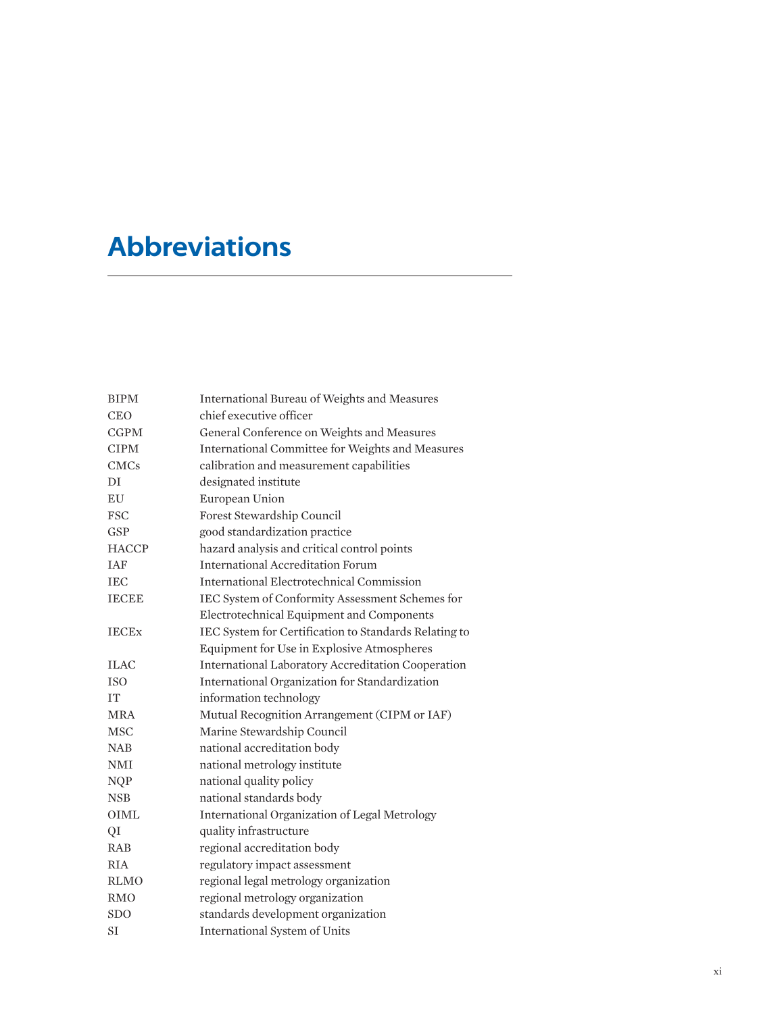# **Abbreviations**

| <b>BIPM</b>  | International Bureau of Weights and Measures              |
|--------------|-----------------------------------------------------------|
| <b>CEO</b>   | chief executive officer                                   |
| <b>CGPM</b>  | General Conference on Weights and Measures                |
| <b>CIPM</b>  | International Committee for Weights and Measures          |
| <b>CMCs</b>  | calibration and measurement capabilities                  |
| DI           | designated institute                                      |
| EU           | European Union                                            |
| <b>FSC</b>   | Forest Stewardship Council                                |
| <b>GSP</b>   | good standardization practice                             |
| <b>HACCP</b> | hazard analysis and critical control points               |
| <b>TAF</b>   | <b>International Accreditation Forum</b>                  |
| <b>IEC</b>   | International Electrotechnical Commission                 |
| <b>IECEE</b> | IEC System of Conformity Assessment Schemes for           |
|              | Electrotechnical Equipment and Components                 |
| <b>IECEx</b> | IEC System for Certification to Standards Relating to     |
|              | Equipment for Use in Explosive Atmospheres                |
| <b>ILAC</b>  | <b>International Laboratory Accreditation Cooperation</b> |
| <b>ISO</b>   | International Organization for Standardization            |
| <b>TT</b>    | information technology                                    |
| <b>MRA</b>   | Mutual Recognition Arrangement (CIPM or IAF)              |
| <b>MSC</b>   | Marine Stewardship Council                                |
| <b>NAB</b>   | national accreditation body                               |
| <b>NMI</b>   | national metrology institute                              |
| <b>NQP</b>   | national quality policy                                   |
| <b>NSB</b>   | national standards body                                   |
| <b>OIML</b>  | International Organization of Legal Metrology             |
| QI           | quality infrastructure                                    |
| <b>RAB</b>   | regional accreditation body                               |
| <b>RIA</b>   | regulatory impact assessment                              |
| <b>RLMO</b>  | regional legal metrology organization                     |
| <b>RMO</b>   | regional metrology organization                           |
| <b>SDO</b>   | standards development organization                        |
| SI           | International System of Units                             |